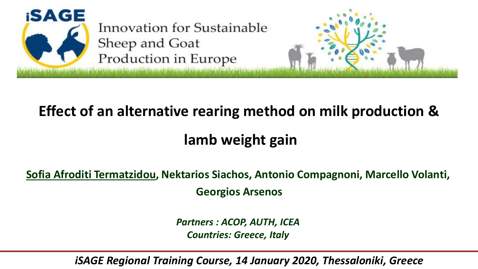

Innovation for Sustainable Sheep and Goat Production in Europe



# **Effect of an alternative rearing method on milk production & lamb weight gain**

#### **Sofia Afroditi Termatzidou, Nektarios Siachos, Antonio Compagnoni, Marcello Volanti, Georgios Arsenos**

*Partners : ACOP, AUTH, ICEA Countries: Greece, Italy*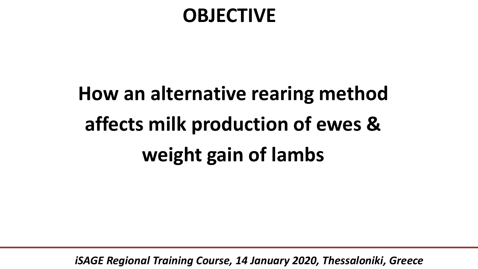### **OBJECTIVE**

# **How an alternative rearing method affects milk production of ewes & weight gain of lambs**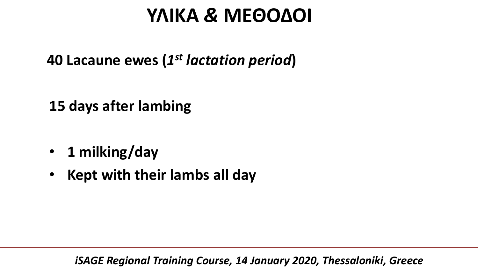## **ΥΛΙΚΑ** *&* **ΜΕΘΟΔΟΙ**

**40 Lacaune ewes (***1 st lactation period***)**

**15 days after lambing**

- **1 milking/day**
- **Kept with their lambs all day**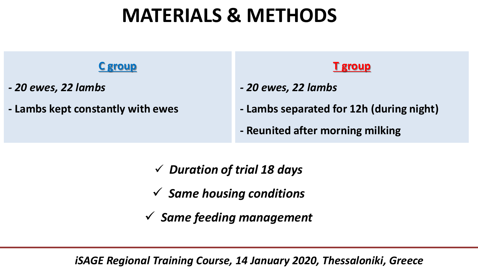## **MATERIALS & METHODS**

#### **C group**

- *- 20 ewes, 22 lambs*
- **- Lambs kept constantly with ewes**

#### **Τ group**

*- 20 ewes, 22 lambs*

- **- Lambs separated for 12h (during night)**
- **- Reunited after morning milking**
- ✓ *Duration of trial 18 days*
- ✓ *Same housing conditions*
- ✓ *Same feeding management*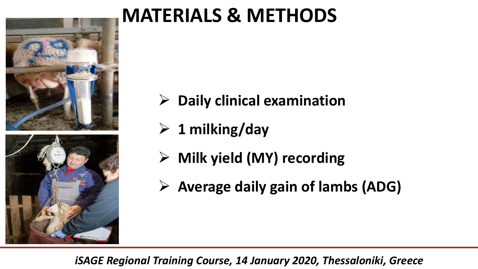

# **MATERIALS & METHODS**

- ➢ **Daily clinical examination**
- ➢ **1 milking/day**
- ➢ **Milk yield (MY) recording**
- ➢ **Average daily gain of lambs (ADG)**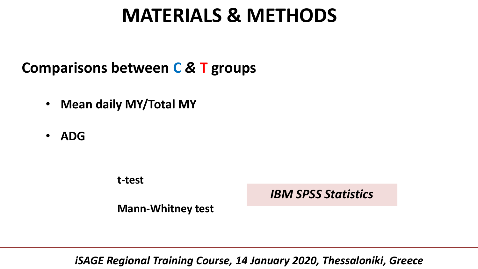### **MATERIALS & METHODS**

#### **Comparisons between C** *&* **T groups**

- **Mean daily MY/Total MY**
- **ADG**

**t-test Mann-Whitney test** *IBM SPSS Statistics*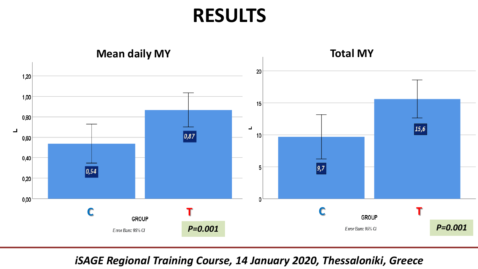#### **RESULTS**

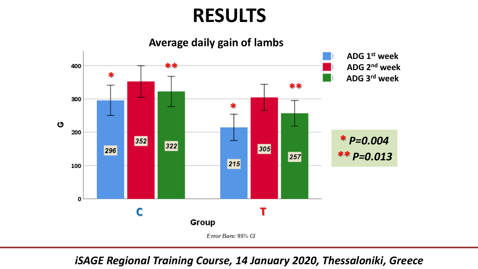### **RESULTS**

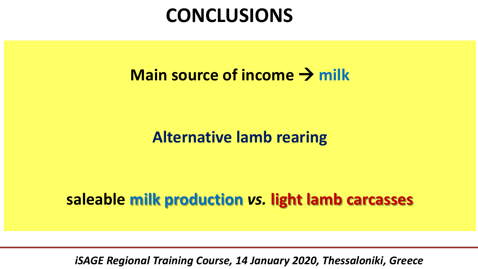#### **CONCLUSIONS**

#### **Main source of income**  $\rightarrow$  **milk**

#### **{(carcass weight=0.60 x BW) x 4** *€/kg }* **Alternative lamb rearing**

## **T C saleable milk production** *vs.* **light lamb carcasses**